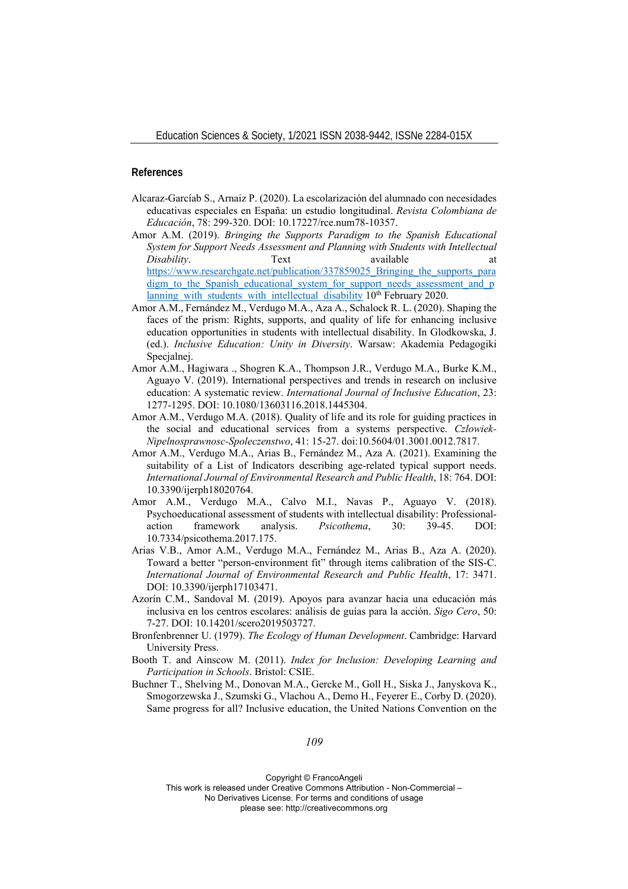## **References**

- Alcaraz-Garcíab S., Arnaiz P. (2020). La escolarización del alumnado con necesidades educativas especiales en España: un estudio longitudinal. *Revista Colombiana de Educación*, 78: 299-320. DOI: 10.17227/rce.num78-10357.
- Amor A.M. (2019). *Bringing the Supports Paradigm to the Spanish Educational System for Support Needs Assessment and Planning with Students with Intellectual Disability*. Text available at https://www.researchgate.net/publication/337859025\_Bringing\_the\_supports\_para digm\_to\_the\_Spanish\_educational\_system\_for\_support\_needs\_assessment\_and\_p lanning with students with intellectual disability 10<sup>th</sup> February 2020.
- Amor A.M., Fernández M., Verdugo M.A., Aza A., Schalock R. L. (2020). Shaping the faces of the prism: Rights, supports, and quality of life for enhancing inclusive education opportunities in students with intellectual disability. In Glodkowska, J. (ed.). *Inclusive Education: Unity in Diversity*. Warsaw: Akademia Pedagogiki Specialnei.
- Amor A.M., Hagiwara ., Shogren K.A., Thompson J.R., Verdugo M.A., Burke K.M., Aguayo V. (2019). International perspectives and trends in research on inclusive education: A systematic review. *International Journal of Inclusive Education*, 23: 1277-1295. DOI: 10.1080/13603116.2018.1445304.
- Amor A.M., Verdugo M.A. (2018). Quality of life and its role for guiding practices in the social and educational services from a systems perspective. *Czlowiek-Nipelnosprawnosc-Spoleczenstwo*, 41: 15-27. doi:10.5604/01.3001.0012.7817.
- Amor A.M., Verdugo M.A., Arias B., Fernández M., Aza A. (2021). Examining the suitability of a List of Indicators describing age-related typical support needs. *International Journal of Environmental Research and Public Health*, 18: 764. DOI: 10.3390/ijerph18020764.
- Amor A.M., Verdugo M.A., Calvo M.I., Navas P., Aguayo V. (2018). Psychoeducational assessment of students with intellectual disability: Professionalaction framework analysis. *Psicothema*, 30: 39-45. DOI: 10.7334/psicothema.2017.175.
- Arias V.B., Amor A.M., Verdugo M.A., Fernández M., Arias B., Aza A. (2020). Toward a better "person-environment fit" through items calibration of the SIS-C. *International Journal of Environmental Research and Public Health*, 17: 3471. DOI: 10.3390/ijerph17103471.
- Azorín C.M., Sandoval M. (2019). Apoyos para avanzar hacia una educación más inclusiva en los centros escolares: análisis de guías para la acción. *Sigo Cero*, 50: 7-27. DOI: 10.14201/scero2019503727.
- Bronfenbrenner U. (1979). *The Ecology of Human Development*. Cambridge: Harvard University Press.
- Booth T. and Ainscow M. (2011). *Index for Inclusion: Developing Learning and Participation in Schools*. Bristol: CSIE.
- Buchner T., Shelving M., Donovan M.A., Gercke M., Goll H., Siska J., Janyskova K., Smogorzewska J., Szumski G., Vlachou A., Demo H., Feyerer E., Corby D. (2020). Same progress for all? Inclusive education, the United Nations Convention on the

Copyright © FrancoAngeli

This work is released under Creative Commons Attribution - Non-Commercial – No Derivatives License. For terms and conditions of usage

please see: http://creativecommons.org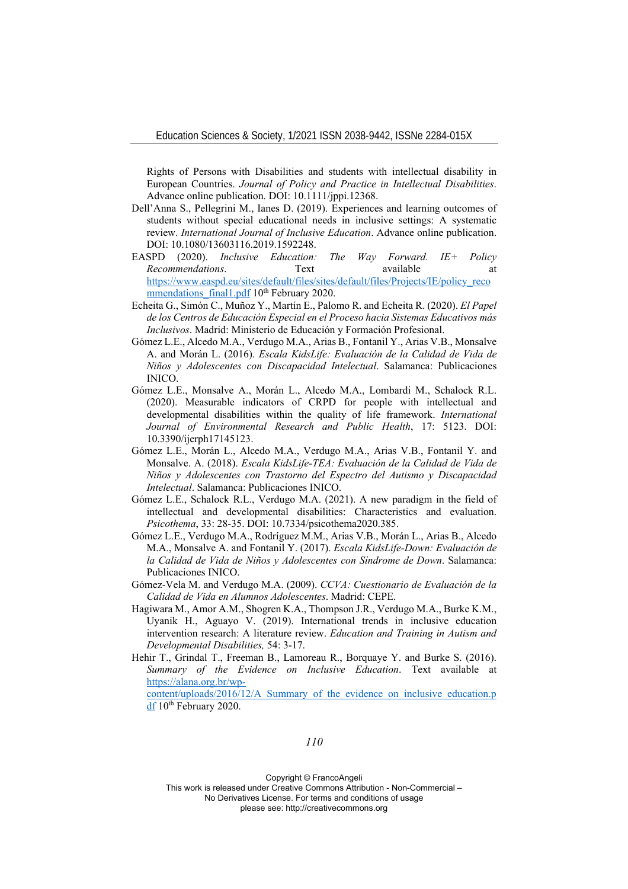Rights of Persons with Disabilities and students with intellectual disability in European Countries. *Journal of Policy and Practice in Intellectual Disabilities*. Advance online publication. DOI: 10.1111/jppi.12368.

- Dell'Anna S., Pellegrini M., Ianes D. (2019). Experiences and learning outcomes of students without special educational needs in inclusive settings: A systematic review. *International Journal of Inclusive Education*. Advance online publication. DOI: 10.1080/13603116.2019.1592248.
- EASPD (2020). *Inclusive Education: The Way Forward. IE+ Policy Recommendations*. Text available at a https://www.easpd.eu/sites/default/files/sites/default/files/Projects/IE/policy\_reco mmendations final1.pdf 10<sup>th</sup> February 2020.
- Echeita G., Simón C., Muñoz Y., Martín E., Palomo R. and Echeita R. (2020). *El Papel de los Centros de Educación Especial en el Proceso hacia Sistemas Educativos más Inclusivos*. Madrid: Ministerio de Educación y Formación Profesional.
- Gómez L.E., Alcedo M.A., Verdugo M.A., Arias B., Fontanil Y., Arias V.B., Monsalve A. and Morán L. (2016). *Escala KidsLife: Evaluación de la Calidad de Vida de Niños y Adolescentes con Discapacidad Intelectual*. Salamanca: Publicaciones INICO.
- Gómez L.E., Monsalve A., Morán L., Alcedo M.A., Lombardi M., Schalock R.L. (2020). Measurable indicators of CRPD for people with intellectual and developmental disabilities within the quality of life framework. *International Journal of Environmental Research and Public Health*, 17: 5123. DOI: 10.3390/ijerph17145123.
- Gómez L.E., Morán L., Alcedo M.A., Verdugo M.A., Arias V.B., Fontanil Y. and Monsalve. A. (2018). *Escala KidsLife-TEA: Evaluación de la Calidad de Vida de Niños y Adolescentes con Trastorno del Espectro del Autismo y Discapacidad Intelectual*. Salamanca: Publicaciones INICO.
- Gómez L.E., Schalock R.L., Verdugo M.A. (2021). A new paradigm in the field of intellectual and developmental disabilities: Characteristics and evaluation. *Psicothema*, 33: 28-35. DOI: 10.7334/psicothema2020.385.
- Gómez L.E., Verdugo M.A., Rodríguez M.M., Arias V.B., Morán L., Arias B., Alcedo M.A., Monsalve A. and Fontanil Y. (2017). *Escala KidsLife-Down: Evaluación de la Calidad de Vida de Niños y Adolescentes con Síndrome de Down*. Salamanca: Publicaciones INICO.
- Gómez-Vela M. and Verdugo M.A. (2009). *CCVA: Cuestionario de Evaluación de la Calidad de Vida en Alumnos Adolescentes*. Madrid: CEPE.
- Hagiwara M., Amor A.M., Shogren K.A., Thompson J.R., Verdugo M.A., Burke K.M., Uyanik H., Aguayo V. (2019). International trends in inclusive education intervention research: A literature review. *Education and Training in Autism and Developmental Disabilities,* 54: 3-17.
- Hehir T., Grindal T., Freeman B., Lamoreau R., Borquaye Y. and Burke S. (2016). *Summary of the Evidence on Inclusive Education*. Text available at https://alana.org.br/wp-

content/uploads/2016/12/A\_Summary\_of\_the\_evidence\_on\_inclusive\_education.p df 10<sup>th</sup> February 2020.

*110*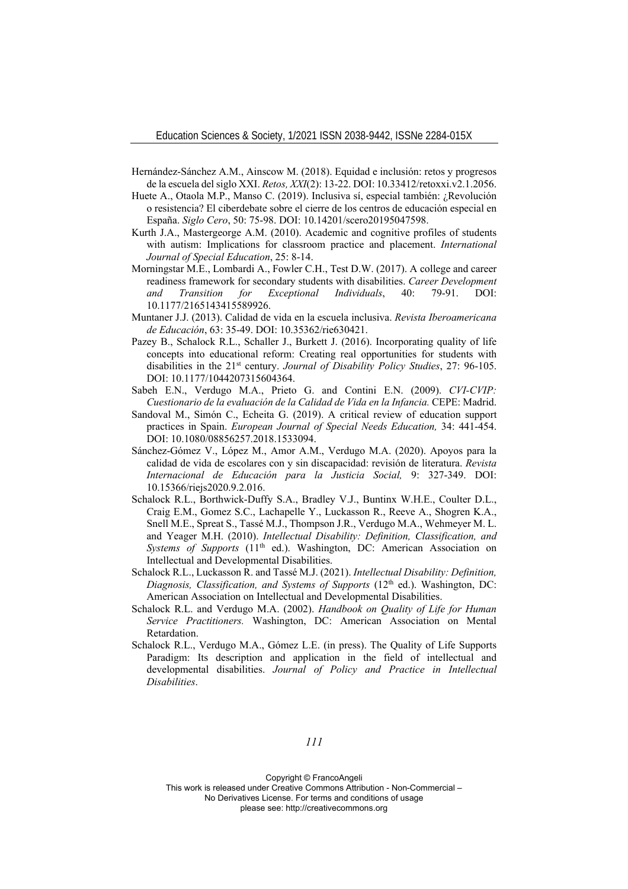- Hernández-Sánchez A.M., Ainscow M. (2018). Equidad e inclusión: retos y progresos de la escuela del siglo XXI. *Retos, XXI*(2): 13-22. DOI: 10.33412/retoxxi.v2.1.2056.
- Huete A., Otaola M.P., Manso C. (2019). Inclusiva sí, especial también: ¿Revolución o resistencia? El ciberdebate sobre el cierre de los centros de educación especial en España. *Siglo Cero*, 50: 75-98. DOI: 10.14201/scero20195047598.
- Kurth J.A., Mastergeorge A.M. (2010). Academic and cognitive profiles of students with autism: Implications for classroom practice and placement. *International Journal of Special Education*, 25: 8-14.
- Morningstar M.E., Lombardi A., Fowler C.H., Test D.W. (2017). A college and career readiness framework for secondary students with disabilities. *Career Development and Transition for Exceptional Individuals*, 40: 79-91. DOI: 10.1177/2165143415589926.
- Muntaner J.J. (2013). Calidad de vida en la escuela inclusiva. *Revista Iberoamericana de Educación*, 63: 35-49. DOI: 10.35362/rie630421.
- Pazey B., Schalock R.L., Schaller J., Burkett J. (2016). Incorporating quality of life concepts into educational reform: Creating real opportunities for students with disabilities in the 21st century. *Journal of Disability Policy Studies*, 27: 96-105. DOI: 10.1177/1044207315604364.
- Sabeh E.N., Verdugo M.A., Prieto G. and Contini E.N. (2009). *CVI-CVIP: Cuestionario de la evaluación de la Calidad de Vida en la Infancia.* CEPE: Madrid.
- Sandoval M., Simón C., Echeita G. (2019). A critical review of education support practices in Spain. *European Journal of Special Needs Education,* 34: 441-454. DOI: 10.1080/08856257.2018.1533094.
- Sánchez-Gómez V., López M., Amor A.M., Verdugo M.A. (2020). Apoyos para la calidad de vida de escolares con y sin discapacidad: revisión de literatura. *Revista Internacional de Educación para la Justicia Social,* 9: 327-349. DOI: 10.15366/riejs2020.9.2.016.
- Schalock R.L., Borthwick-Duffy S.A., Bradley V.J., Buntinx W.H.E., Coulter D.L., Craig E.M., Gomez S.C., Lachapelle Y., Luckasson R., Reeve A., Shogren K.A., Snell M.E., Spreat S., Tassé M.J., Thompson J.R., Verdugo M.A., Wehmeyer M. L. and Yeager M.H. (2010). *Intellectual Disability: Definition, Classification, and*  Systems of Supports (11<sup>th</sup> ed.). Washington, DC: American Association on Intellectual and Developmental Disabilities.
- Schalock R.L., Luckasson R. and Tassé M.J. (2021). *Intellectual Disability: Definition, Diagnosis, Classification, and Systems of Supports* (12<sup>th</sup> ed.). Washington, DC: American Association on Intellectual and Developmental Disabilities.
- Schalock R.L. and Verdugo M.A. (2002). *Handbook on Quality of Life for Human Service Practitioners.* Washington, DC: American Association on Mental Retardation.
- Schalock R.L., Verdugo M.A., Gómez L.E. (in press). The Quality of Life Supports Paradigm: Its description and application in the field of intellectual and developmental disabilities. *Journal of Policy and Practice in Intellectual Disabilities*.

*111*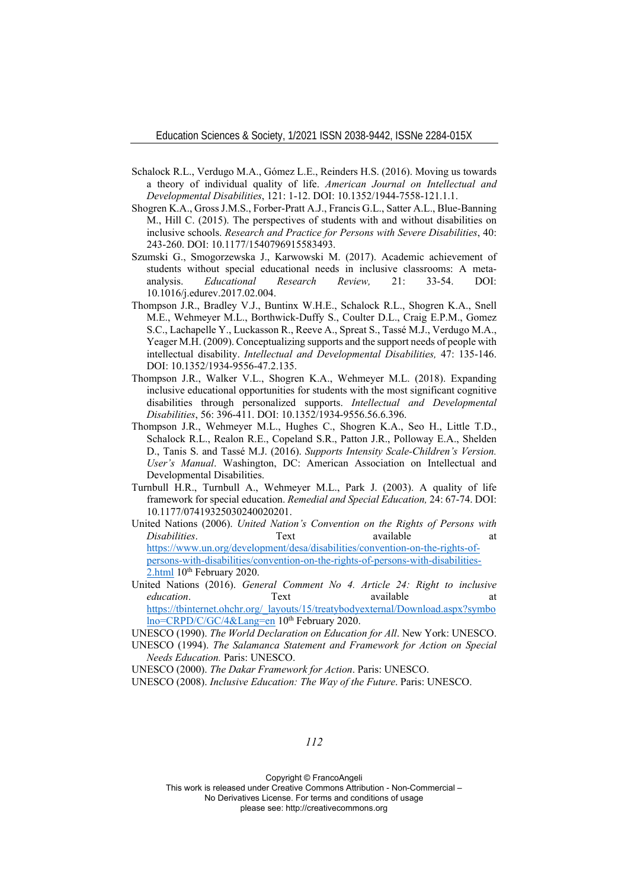- Schalock R.L., Verdugo M.A., Gómez L.E., Reinders H.S. (2016). Moving us towards a theory of individual quality of life. *American Journal on Intellectual and Developmental Disabilities*, 121: 1-12. DOI: 10.1352/1944-7558-121.1.1.
- Shogren K.A., Gross J.M.S., Forber-Pratt A.J., Francis G.L., Satter A.L., Blue-Banning M., Hill C. (2015). The perspectives of students with and without disabilities on inclusive schools. *Research and Practice for Persons with Severe Disabilities*, 40: 243-260. DOI: 10.1177/1540796915583493.
- Szumski G., Smogorzewska J., Karwowski M. (2017). Academic achievement of students without special educational needs in inclusive classrooms: A metaanalysis. *Educational Research Review,* 21: 33-54. DOI: 10.1016/j.edurev.2017.02.004.
- Thompson J.R., Bradley V.J., Buntinx W.H.E., Schalock R.L., Shogren K.A., Snell M.E., Wehmeyer M.L., Borthwick-Duffy S., Coulter D.L., Craig E.P.M., Gomez S.C., Lachapelle Y., Luckasson R., Reeve A., Spreat S., Tassé M.J., Verdugo M.A., Yeager M.H. (2009). Conceptualizing supports and the support needs of people with intellectual disability. *Intellectual and Developmental Disabilities,* 47: 135-146. DOI: 10.1352/1934-9556-47.2.135.
- Thompson J.R., Walker V.L., Shogren K.A., Wehmeyer M.L. (2018). Expanding inclusive educational opportunities for students with the most significant cognitive disabilities through personalized supports. *Intellectual and Developmental Disabilities*, 56: 396-411. DOI: 10.1352/1934-9556.56.6.396.
- Thompson J.R., Wehmeyer M.L., Hughes C., Shogren K.A., Seo H., Little T.D., Schalock R.L., Realon R.E., Copeland S.R., Patton J.R., Polloway E.A., Shelden D., Tanis S. and Tassé M.J. (2016). *Supports Intensity Scale-Children's Version. User's Manual*. Washington, DC: American Association on Intellectual and Developmental Disabilities.
- Turnbull H.R., Turnbull A., Wehmeyer M.L., Park J. (2003). A quality of life framework for special education. *Remedial and Special Education,* 24: 67-74. DOI: 10.1177/07419325030240020201.
- United Nations (2006). *United Nation's Convention on the Rights of Persons with Disabilities*. Text available at a https://www.un.org/development/desa/disabilities/convention-on-the-rights-ofpersons-with-disabilities/convention-on-the-rights-of-persons-with-disabilities-2.html 10<sup>th</sup> February 2020.
- United Nations (2016). *General Comment No 4. Article 24: Right to inclusive education*. Text available at https://tbinternet.ohchr.org/\_layouts/15/treatybodyexternal/Download.aspx?symbo lno=CRPD/C/GC/4&Lang=en 10<sup>th</sup> February 2020.

UNESCO (1990). *The World Declaration on Education for All*. New York: UNESCO.

UNESCO (1994). *The Salamanca Statement and Framework for Action on Special Needs Education.* Paris: UNESCO.

UNESCO (2000). *The Dakar Framework for Action*. Paris: UNESCO.

UNESCO (2008). *Inclusive Education: The Way of the Future*. Paris: UNESCO.

*112*